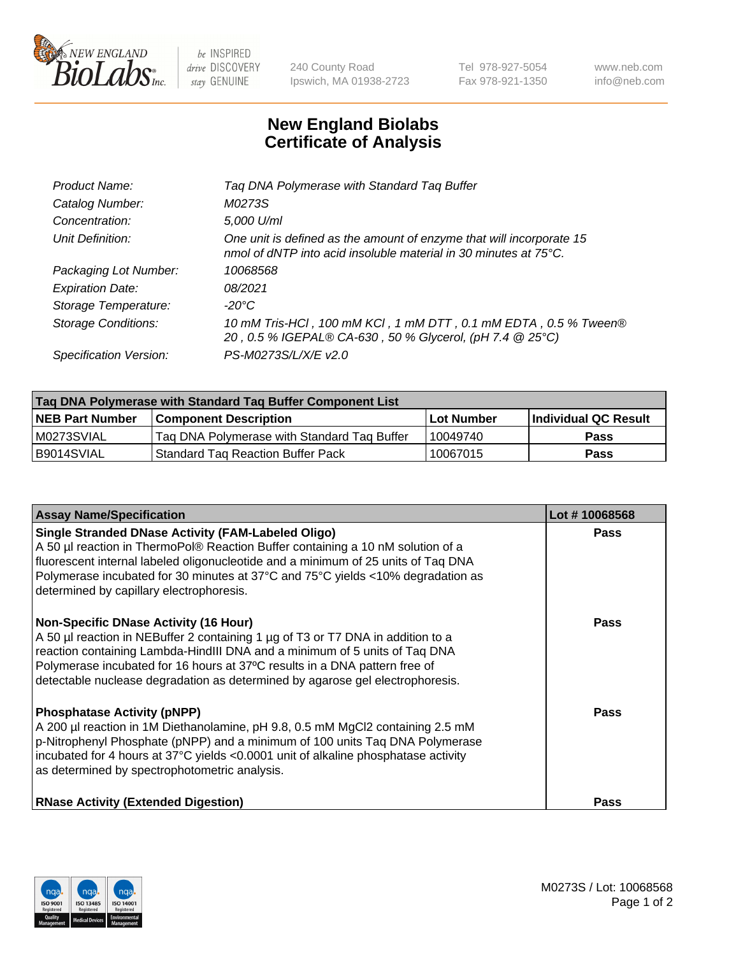

 $be$  INSPIRED drive DISCOVERY stay GENUINE

240 County Road Ipswich, MA 01938-2723 Tel 978-927-5054 Fax 978-921-1350 www.neb.com info@neb.com

## **New England Biolabs Certificate of Analysis**

| Product Name:           | Tag DNA Polymerase with Standard Tag Buffer                                                                                                        |
|-------------------------|----------------------------------------------------------------------------------------------------------------------------------------------------|
| Catalog Number:         | M0273S                                                                                                                                             |
| Concentration:          | 5,000 U/ml                                                                                                                                         |
| Unit Definition:        | One unit is defined as the amount of enzyme that will incorporate 15<br>nmol of dNTP into acid insoluble material in 30 minutes at $75^{\circ}$ C. |
| Packaging Lot Number:   | 10068568                                                                                                                                           |
| <b>Expiration Date:</b> | 08/2021                                                                                                                                            |
| Storage Temperature:    | $-20^{\circ}$ C                                                                                                                                    |
| Storage Conditions:     | 10 mM Tris-HCl, 100 mM KCl, 1 mM DTT, 0.1 mM EDTA, 0.5 % Tween®<br>20, 0.5 % IGEPAL® CA-630, 50 % Glycerol, (pH 7.4 @ 25°C)                        |
| Specification Version:  | PS-M0273S/L/X/E v2.0                                                                                                                               |

| Tag DNA Polymerase with Standard Tag Buffer Component List |                                             |                   |                      |  |
|------------------------------------------------------------|---------------------------------------------|-------------------|----------------------|--|
| <b>NEB Part Number</b>                                     | <b>Component Description</b>                | <b>Lot Number</b> | Individual QC Result |  |
| M0273SVIAL                                                 | Tag DNA Polymerase with Standard Tag Buffer | 10049740          | <b>Pass</b>          |  |
| B9014SVIAL                                                 | <b>Standard Tag Reaction Buffer Pack</b>    | 10067015          | <b>Pass</b>          |  |

| <b>Assay Name/Specification</b>                                                                                                                                                                                                                                                                                                                                              | Lot #10068568 |
|------------------------------------------------------------------------------------------------------------------------------------------------------------------------------------------------------------------------------------------------------------------------------------------------------------------------------------------------------------------------------|---------------|
| <b>Single Stranded DNase Activity (FAM-Labeled Oligo)</b><br>A 50 µl reaction in ThermoPol® Reaction Buffer containing a 10 nM solution of a<br>fluorescent internal labeled oligonucleotide and a minimum of 25 units of Taq DNA<br>Polymerase incubated for 30 minutes at 37°C and 75°C yields <10% degradation as<br>determined by capillary electrophoresis.             | <b>Pass</b>   |
| <b>Non-Specific DNase Activity (16 Hour)</b><br>A 50 µl reaction in NEBuffer 2 containing 1 µg of T3 or T7 DNA in addition to a<br>reaction containing Lambda-HindIII DNA and a minimum of 5 units of Taq DNA<br>Polymerase incubated for 16 hours at 37°C results in a DNA pattern free of<br>detectable nuclease degradation as determined by agarose gel electrophoresis. | Pass          |
| <b>Phosphatase Activity (pNPP)</b><br>A 200 µl reaction in 1M Diethanolamine, pH 9.8, 0.5 mM MgCl2 containing 2.5 mM<br>p-Nitrophenyl Phosphate (pNPP) and a minimum of 100 units Taq DNA Polymerase<br>incubated for 4 hours at 37°C yields <0.0001 unit of alkaline phosphatase activity<br>as determined by spectrophotometric analysis.                                  | <b>Pass</b>   |
| <b>RNase Activity (Extended Digestion)</b>                                                                                                                                                                                                                                                                                                                                   | Pass          |